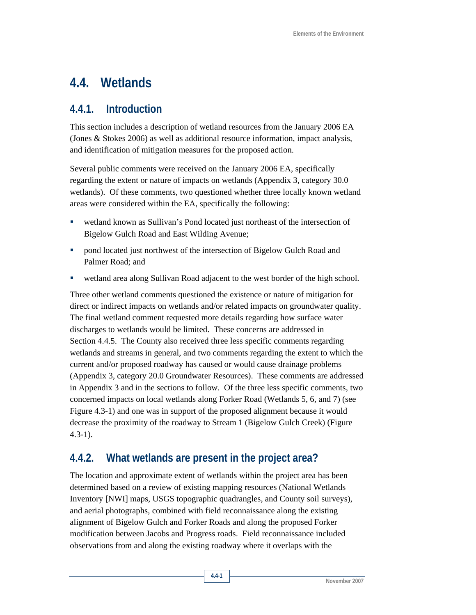# **4.4. Wetlands**

### **4.4.1. Introduction**

This section includes a description of wetland resources from the January 2006 EA (Jones & Stokes 2006) as well as additional resource information, impact analysis, and identification of mitigation measures for the proposed action.

Several public comments were received on the January 2006 EA, specifically regarding the extent or nature of impacts on wetlands (Appendix 3, category 30.0 wetlands). Of these comments, two questioned whether three locally known wetland areas were considered within the EA, specifically the following:

- wetland known as Sullivan's Pond located just northeast of the intersection of Bigelow Gulch Road and East Wilding Avenue;
- **•** pond located just northwest of the intersection of Bigelow Gulch Road and Palmer Road; and
- wetland area along Sullivan Road adjacent to the west border of the high school.

Three other wetland comments questioned the existence or nature of mitigation for direct or indirect impacts on wetlands and/or related impacts on groundwater quality. The final wetland comment requested more details regarding how surface water discharges to wetlands would be limited. These concerns are addressed in Section 4.4.5. The County also received three less specific comments regarding wetlands and streams in general, and two comments regarding the extent to which the current and/or proposed roadway has caused or would cause drainage problems (Appendix 3, category 20.0 Groundwater Resources). These comments are addressed in Appendix 3 and in the sections to follow. Of the three less specific comments, two concerned impacts on local wetlands along Forker Road (Wetlands 5, 6, and 7) (see Figure 4.3-1) and one was in support of the proposed alignment because it would decrease the proximity of the roadway to Stream 1 (Bigelow Gulch Creek) (Figure  $4.3 - 1$ ).

## **4.4.2. What wetlands are present in the project area?**

The location and approximate extent of wetlands within the project area has been determined based on a review of existing mapping resources (National Wetlands Inventory [NWI] maps, USGS topographic quadrangles, and County soil surveys), and aerial photographs, combined with field reconnaissance along the existing alignment of Bigelow Gulch and Forker Roads and along the proposed Forker modification between Jacobs and Progress roads. Field reconnaissance included observations from and along the existing roadway where it overlaps with the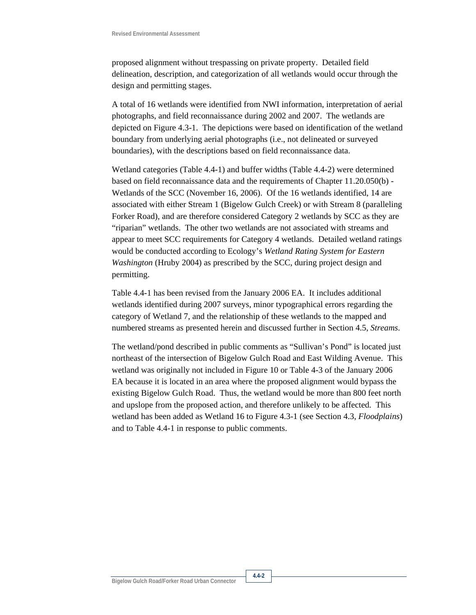proposed alignment without trespassing on private property. Detailed field delineation, description, and categorization of all wetlands would occur through the design and permitting stages.

A total of 16 wetlands were identified from NWI information, interpretation of aerial photographs, and field reconnaissance during 2002 and 2007. The wetlands are depicted on Figure 4.3-1. The depictions were based on identification of the wetland boundary from underlying aerial photographs (i.e., not delineated or surveyed boundaries), with the descriptions based on field reconnaissance data.

Wetland categories (Table 4.4-1) and buffer widths (Table 4.4-2) were determined based on field reconnaissance data and the requirements of Chapter 11.20.050(b) - Wetlands of the SCC (November 16, 2006). Of the 16 wetlands identified, 14 are associated with either Stream 1 (Bigelow Gulch Creek) or with Stream 8 (paralleling Forker Road), and are therefore considered Category 2 wetlands by SCC as they are "riparian" wetlands. The other two wetlands are not associated with streams and appear to meet SCC requirements for Category 4 wetlands. Detailed wetland ratings would be conducted according to Ecology's *Wetland Rating System for Eastern Washington* (Hruby 2004) as prescribed by the SCC, during project design and permitting.

Table 4.4-1 has been revised from the January 2006 EA. It includes additional wetlands identified during 2007 surveys, minor typographical errors regarding the category of Wetland 7, and the relationship of these wetlands to the mapped and numbered streams as presented herein and discussed further in Section 4.5, *Streams*.

The wetland/pond described in public comments as "Sullivan's Pond" is located just northeast of the intersection of Bigelow Gulch Road and East Wilding Avenue. This wetland was originally not included in Figure 10 or Table 4-3 of the January 2006 EA because it is located in an area where the proposed alignment would bypass the existing Bigelow Gulch Road. Thus, the wetland would be more than 800 feet north and upslope from the proposed action, and therefore unlikely to be affected. This wetland has been added as Wetland 16 to Figure 4.3-1 (see Section 4.3, *Floodplains*) and to Table 4.4-1 in response to public comments.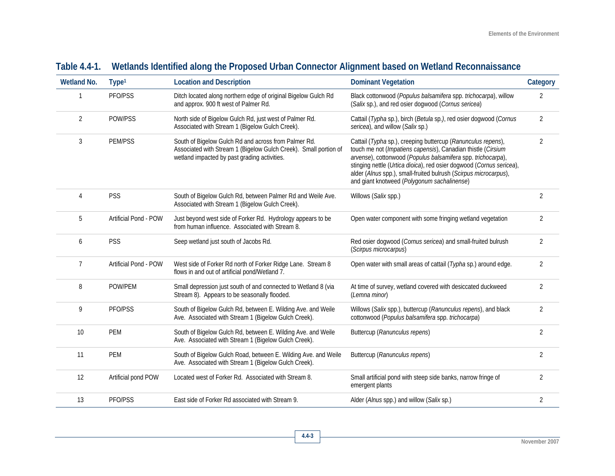| <b>Wetland No.</b> | Type <sup>1</sup>     | <b>Location and Description</b>                                                                                                                                          | <b>Dominant Vegetation</b>                                                                                                                                                                                                                                                                                                                                                              | Category       |
|--------------------|-----------------------|--------------------------------------------------------------------------------------------------------------------------------------------------------------------------|-----------------------------------------------------------------------------------------------------------------------------------------------------------------------------------------------------------------------------------------------------------------------------------------------------------------------------------------------------------------------------------------|----------------|
|                    | PFO/PSS               | Ditch located along northern edge of original Bigelow Gulch Rd<br>and approx. 900 ft west of Palmer Rd.                                                                  | Black cottonwood (Populus balsamifera spp. trichocarpa), willow<br>(Salix sp.), and red osier dogwood (Cornus sericea)                                                                                                                                                                                                                                                                  | $\overline{2}$ |
| 2                  | POW/PSS               | North side of Bigelow Gulch Rd, just west of Palmer Rd.<br>Associated with Stream 1 (Bigelow Gulch Creek).                                                               | Cattail (Typha sp.), birch (Betula sp.), red osier dogwood (Cornus<br>sericea), and willow (Salix sp.)                                                                                                                                                                                                                                                                                  | $\overline{2}$ |
| 3                  | <b>PEM/PSS</b>        | South of Bigelow Gulch Rd and across from Palmer Rd.<br>Associated with Stream 1 (Bigelow Gulch Creek). Small portion of<br>wetland impacted by past grading activities. | Cattail (Typha sp.), creeping buttercup (Ranunculus repens),<br>touch me not (Impatiens capensis), Canadian thistle (Cirsium<br>arvense), cottonwood (Populus balsamifera spp. trichocarpa),<br>stinging nettle (Urtica dioica), red osier dogwood (Cornus sericea),<br>alder (Alnus spp.), small-fruited bulrush (Scirpus microcarpus),<br>and giant knotweed (Polygonum sachalinense) | $\overline{2}$ |
| 4                  | <b>PSS</b>            | South of Bigelow Gulch Rd, between Palmer Rd and Weile Ave.<br>Associated with Stream 1 (Bigelow Gulch Creek).                                                           | Willows (Salix spp.)                                                                                                                                                                                                                                                                                                                                                                    | $\overline{2}$ |
| 5                  | Artificial Pond - POW | Just beyond west side of Forker Rd. Hydrology appears to be<br>from human influence. Associated with Stream 8.                                                           | Open water component with some fringing wetland vegetation                                                                                                                                                                                                                                                                                                                              | $\overline{2}$ |
| 6                  | <b>PSS</b>            | Seep wetland just south of Jacobs Rd.                                                                                                                                    | Red osier dogwood (Cornus sericea) and small-fruited bulrush<br>(Scirpus microcarpus)                                                                                                                                                                                                                                                                                                   | 2              |
| 7                  | Artificial Pond - POW | West side of Forker Rd north of Forker Ridge Lane. Stream 8<br>flows in and out of artificial pond/Wetland 7.                                                            | Open water with small areas of cattail (Typha sp.) around edge.                                                                                                                                                                                                                                                                                                                         | $\overline{2}$ |
| 8                  | POW/PEM               | Small depression just south of and connected to Wetland 8 (via<br>Stream 8). Appears to be seasonally flooded.                                                           | At time of survey, wetland covered with desiccated duckweed<br>(Lemna minor)                                                                                                                                                                                                                                                                                                            | $\overline{2}$ |
| 9                  | PFO/PSS               | South of Bigelow Gulch Rd, between E. Wilding Ave. and Weile<br>Ave. Associated with Stream 1 (Bigelow Gulch Creek).                                                     | Willows (Salix spp.), buttercup (Ranunculus repens), and black<br>cottonwood (Populus balsamifera spp. trichocarpa)                                                                                                                                                                                                                                                                     | $\overline{2}$ |
| 10                 | <b>PEM</b>            | South of Bigelow Gulch Rd, between E. Wilding Ave. and Weile<br>Ave. Associated with Stream 1 (Bigelow Gulch Creek).                                                     | Buttercup (Ranunculus repens)                                                                                                                                                                                                                                                                                                                                                           | $\overline{2}$ |
| 11                 | <b>PEM</b>            | South of Bigelow Gulch Road, between E. Wilding Ave. and Weile<br>Ave. Associated with Stream 1 (Bigelow Gulch Creek).                                                   | Buttercup (Ranunculus repens)                                                                                                                                                                                                                                                                                                                                                           |                |
| 12                 | Artificial pond POW   | Located west of Forker Rd. Associated with Stream 8.                                                                                                                     | Small artificial pond with steep side banks, narrow fringe of<br>emergent plants                                                                                                                                                                                                                                                                                                        |                |
| 13                 | PFO/PSS               | East side of Forker Rd associated with Stream 9.                                                                                                                         | Alder (Alnus spp.) and willow (Salix sp.)                                                                                                                                                                                                                                                                                                                                               | $\overline{2}$ |

## **Table 4.4-1. Wetlands Identified along the Proposed Urban Connector Alignment based on Wetland Reconnaissance**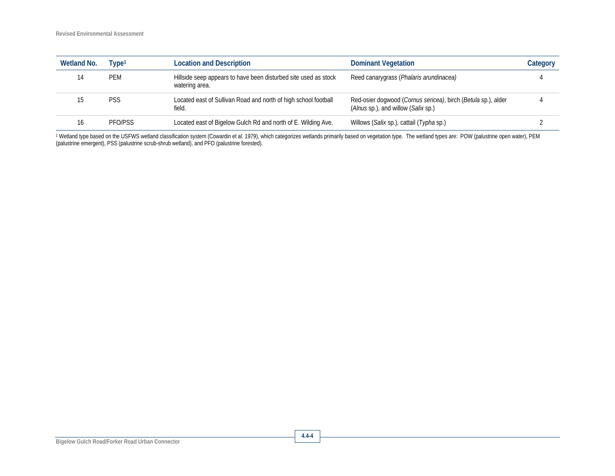| <b>Wetland No.</b> | Tvpe1      | <b>Location and Description</b>                                                   | <b>Dominant Vegetation</b>                                                                           | Category |
|--------------------|------------|-----------------------------------------------------------------------------------|------------------------------------------------------------------------------------------------------|----------|
|                    | <b>PEM</b> | Hillside seep appears to have been disturbed site used as stock<br>watering area. | Reed canarygrass (Phalaris arundinacea)                                                              |          |
|                    | <b>PSS</b> | Located east of Sullivan Road and north of high school football<br>field.         | Red-osier dogwood (Cornus sericea), birch (Betula sp.), alder<br>(Alnus sp.), and willow (Salix sp.) |          |
|                    | PFO/PSS    | Located east of Bigelow Gulch Rd and north of E. Wilding Ave.                     | Willows (Salix sp.), cattail (Typha sp.)                                                             |          |

1 Wetland type based on the USFWS wetland classification system (Cowardin et al. 1979), which categorizes wetlands primarily based on vegetation type. The wetland types are: POW (palustrine open water), PEM (palustrine emergent), PSS (palustrine scrub-shrub wetland), and PFO (palustrine forested).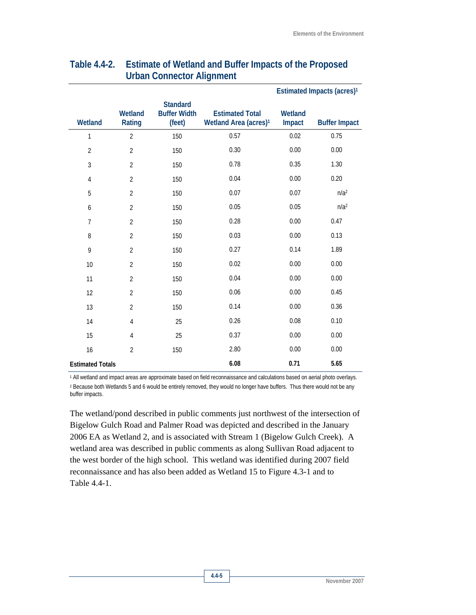|                         |                   |                                                  |                                                             | Estimated Impacts (acres) <sup>1</sup> |                      |
|-------------------------|-------------------|--------------------------------------------------|-------------------------------------------------------------|----------------------------------------|----------------------|
| Wetland                 | Wetland<br>Rating | <b>Standard</b><br><b>Buffer Width</b><br>(feet) | <b>Estimated Total</b><br>Wetland Area (acres) <sup>1</sup> | Wetland<br>Impact                      | <b>Buffer Impact</b> |
| 1                       | $\overline{2}$    | 150                                              | 0.57                                                        | 0.02                                   | 0.75                 |
| $\overline{2}$          | $\overline{2}$    | 150                                              | 0.30                                                        | 0.00                                   | 0.00                 |
| 3                       | $\overline{2}$    | 150                                              | 0.78                                                        | 0.35                                   | 1.30                 |
| 4                       | $\overline{2}$    | 150                                              | 0.04                                                        | 0.00                                   | 0.20                 |
| 5                       | $\overline{2}$    | 150                                              | 0.07                                                        | 0.07                                   | n/a <sup>2</sup>     |
| 6                       | $\overline{2}$    | 150                                              | 0.05                                                        | 0.05                                   | n/a <sup>2</sup>     |
| $\overline{7}$          | $\overline{2}$    | 150                                              | 0.28                                                        | 0.00                                   | 0.47                 |
| 8                       | $\overline{2}$    | 150                                              | 0.03                                                        | 0.00                                   | 0.13                 |
| 9                       | $\overline{2}$    | 150                                              | 0.27                                                        | 0.14                                   | 1.89                 |
| 10                      | $\overline{2}$    | 150                                              | 0.02                                                        | 0.00                                   | 0.00                 |
| 11                      | $\overline{2}$    | 150                                              | 0.04                                                        | 0.00                                   | 0.00                 |
| 12                      | $\overline{2}$    | 150                                              | 0.06                                                        | 0.00                                   | 0.45                 |
| 13                      | $\overline{2}$    | 150                                              | 0.14                                                        | 0.00                                   | 0.36                 |
| 14                      | 4                 | 25                                               | 0.26                                                        | 0.08                                   | 0.10                 |
| 15                      | 4                 | 25                                               | 0.37                                                        | 0.00                                   | 0.00                 |
| 16                      | $\overline{2}$    | 150                                              | 2.80                                                        | 0.00                                   | 0.00                 |
| <b>Estimated Totals</b> |                   |                                                  | 6.08                                                        | 0.71                                   | 5.65                 |

#### **Table 4.4-2. Estimate of Wetland and Buffer Impacts of the Proposed Urban Connector Alignment**

1 All wetland and impact areas are approximate based on field reconnaissance and calculations based on aerial photo overlays. 2 Because both Wetlands 5 and 6 would be entirely removed, they would no longer have buffers. Thus there would not be any buffer impacts.

The wetland/pond described in public comments just northwest of the intersection of Bigelow Gulch Road and Palmer Road was depicted and described in the January 2006 EA as Wetland 2, and is associated with Stream 1 (Bigelow Gulch Creek). A wetland area was described in public comments as along Sullivan Road adjacent to the west border of the high school. This wetland was identified during 2007 field reconnaissance and has also been added as Wetland 15 to Figure 4.3-1 and to Table 4.4-1.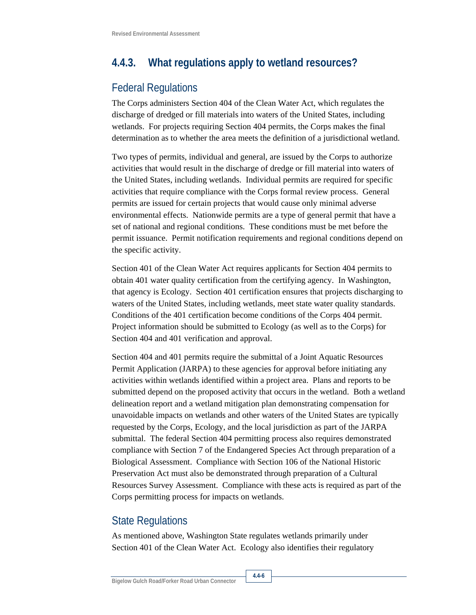## **4.4.3. What regulations apply to wetland resources?**

### Federal Regulations

The Corps administers Section 404 of the Clean Water Act, which regulates the discharge of dredged or fill materials into waters of the United States, including wetlands. For projects requiring Section 404 permits, the Corps makes the final determination as to whether the area meets the definition of a jurisdictional wetland.

Two types of permits, individual and general, are issued by the Corps to authorize activities that would result in the discharge of dredge or fill material into waters of the United States, including wetlands. Individual permits are required for specific activities that require compliance with the Corps formal review process. General permits are issued for certain projects that would cause only minimal adverse environmental effects. Nationwide permits are a type of general permit that have a set of national and regional conditions. These conditions must be met before the permit issuance. Permit notification requirements and regional conditions depend on the specific activity.

Section 401 of the Clean Water Act requires applicants for Section 404 permits to obtain 401 water quality certification from the certifying agency. In Washington, that agency is Ecology. Section 401 certification ensures that projects discharging to waters of the United States, including wetlands, meet state water quality standards. Conditions of the 401 certification become conditions of the Corps 404 permit. Project information should be submitted to Ecology (as well as to the Corps) for Section 404 and 401 verification and approval.

Section 404 and 401 permits require the submittal of a Joint Aquatic Resources Permit Application (JARPA) to these agencies for approval before initiating any activities within wetlands identified within a project area. Plans and reports to be submitted depend on the proposed activity that occurs in the wetland. Both a wetland delineation report and a wetland mitigation plan demonstrating compensation for unavoidable impacts on wetlands and other waters of the United States are typically requested by the Corps, Ecology, and the local jurisdiction as part of the JARPA submittal. The federal Section 404 permitting process also requires demonstrated compliance with Section 7 of the Endangered Species Act through preparation of a Biological Assessment. Compliance with Section 106 of the National Historic Preservation Act must also be demonstrated through preparation of a Cultural Resources Survey Assessment. Compliance with these acts is required as part of the Corps permitting process for impacts on wetlands.

### State Regulations

As mentioned above, Washington State regulates wetlands primarily under Section 401 of the Clean Water Act. Ecology also identifies their regulatory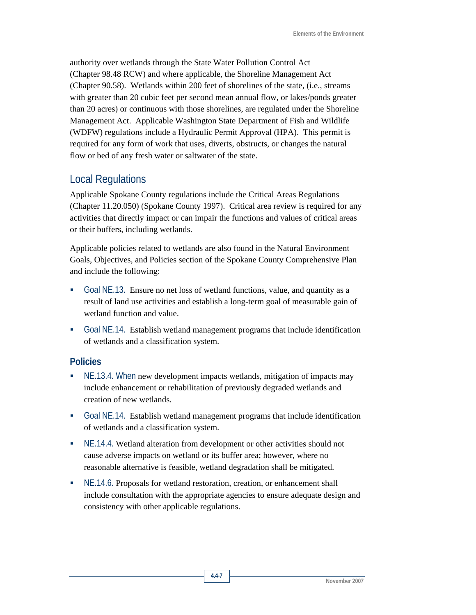authority over wetlands through the State Water Pollution Control Act (Chapter 98.48 RCW) and where applicable, the Shoreline Management Act (Chapter 90.58). Wetlands within 200 feet of shorelines of the state, (i.e., streams with greater than 20 cubic feet per second mean annual flow, or lakes/ponds greater than 20 acres) or continuous with those shorelines, are regulated under the Shoreline Management Act. Applicable Washington State Department of Fish and Wildlife (WDFW) regulations include a Hydraulic Permit Approval (HPA). This permit is required for any form of work that uses, diverts, obstructs, or changes the natural flow or bed of any fresh water or saltwater of the state.

### Local Regulations

Applicable Spokane County regulations include the Critical Areas Regulations (Chapter 11.20.050) (Spokane County 1997). Critical area review is required for any activities that directly impact or can impair the functions and values of critical areas or their buffers, including wetlands.

Applicable policies related to wetlands are also found in the Natural Environment Goals, Objectives, and Policies section of the Spokane County Comprehensive Plan and include the following:

- Goal NE.13. Ensure no net loss of wetland functions, value, and quantity as a result of land use activities and establish a long-term goal of measurable gain of wetland function and value.
- Goal NE.14. Establish wetland management programs that include identification of wetlands and a classification system.

#### **Policies**

- NE.13.4. When new development impacts wetlands, mitigation of impacts may include enhancement or rehabilitation of previously degraded wetlands and creation of new wetlands.
- Goal NE.14. Establish wetland management programs that include identification of wetlands and a classification system.
- NE.14.4. Wetland alteration from development or other activities should not cause adverse impacts on wetland or its buffer area; however, where no reasonable alternative is feasible, wetland degradation shall be mitigated.
- NE.14.6. Proposals for wetland restoration, creation, or enhancement shall include consultation with the appropriate agencies to ensure adequate design and consistency with other applicable regulations.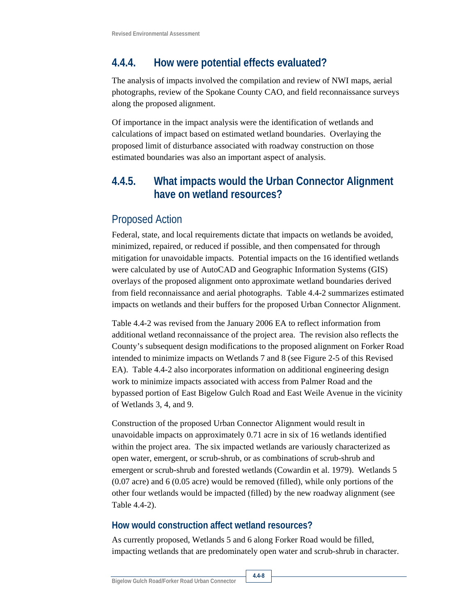## **4.4.4. How were potential effects evaluated?**

The analysis of impacts involved the compilation and review of NWI maps, aerial photographs, review of the Spokane County CAO, and field reconnaissance surveys along the proposed alignment.

Of importance in the impact analysis were the identification of wetlands and calculations of impact based on estimated wetland boundaries. Overlaying the proposed limit of disturbance associated with roadway construction on those estimated boundaries was also an important aspect of analysis.

## **4.4.5. What impacts would the Urban Connector Alignment have on wetland resources?**

### Proposed Action

Federal, state, and local requirements dictate that impacts on wetlands be avoided, minimized, repaired, or reduced if possible, and then compensated for through mitigation for unavoidable impacts. Potential impacts on the 16 identified wetlands were calculated by use of AutoCAD and Geographic Information Systems (GIS) overlays of the proposed alignment onto approximate wetland boundaries derived from field reconnaissance and aerial photographs. Table 4.4-2 summarizes estimated impacts on wetlands and their buffers for the proposed Urban Connector Alignment.

Table 4.4-2 was revised from the January 2006 EA to reflect information from additional wetland reconnaissance of the project area. The revision also reflects the County's subsequent design modifications to the proposed alignment on Forker Road intended to minimize impacts on Wetlands 7 and 8 (see Figure 2-5 of this Revised EA). Table 4.4-2 also incorporates information on additional engineering design work to minimize impacts associated with access from Palmer Road and the bypassed portion of East Bigelow Gulch Road and East Weile Avenue in the vicinity of Wetlands 3, 4, and 9.

Construction of the proposed Urban Connector Alignment would result in unavoidable impacts on approximately 0.71 acre in six of 16 wetlands identified within the project area. The six impacted wetlands are variously characterized as open water, emergent, or scrub-shrub, or as combinations of scrub-shrub and emergent or scrub-shrub and forested wetlands (Cowardin et al. 1979). Wetlands 5 (0.07 acre) and 6 (0.05 acre) would be removed (filled), while only portions of the other four wetlands would be impacted (filled) by the new roadway alignment (see Table 4.4-2).

#### **How would construction affect wetland resources?**

As currently proposed, Wetlands 5 and 6 along Forker Road would be filled, impacting wetlands that are predominately open water and scrub-shrub in character.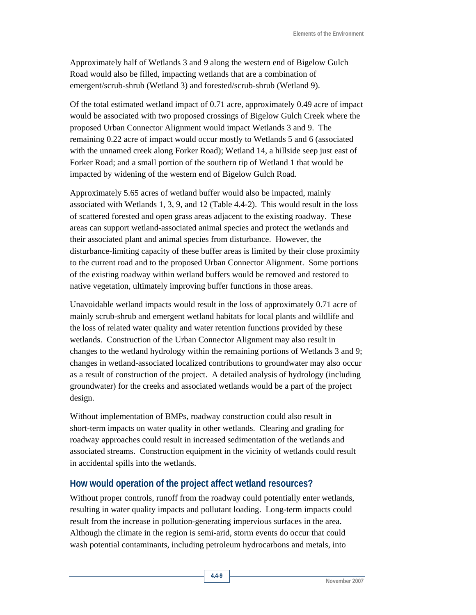Approximately half of Wetlands 3 and 9 along the western end of Bigelow Gulch Road would also be filled, impacting wetlands that are a combination of emergent/scrub-shrub (Wetland 3) and forested/scrub-shrub (Wetland 9).

Of the total estimated wetland impact of 0.71 acre, approximately 0.49 acre of impact would be associated with two proposed crossings of Bigelow Gulch Creek where the proposed Urban Connector Alignment would impact Wetlands 3 and 9. The remaining 0.22 acre of impact would occur mostly to Wetlands 5 and 6 (associated with the unnamed creek along Forker Road); Wetland 14, a hillside seep just east of Forker Road; and a small portion of the southern tip of Wetland 1 that would be impacted by widening of the western end of Bigelow Gulch Road.

Approximately 5.65 acres of wetland buffer would also be impacted, mainly associated with Wetlands 1, 3, 9, and 12 (Table 4.4-2). This would result in the loss of scattered forested and open grass areas adjacent to the existing roadway. These areas can support wetland-associated animal species and protect the wetlands and their associated plant and animal species from disturbance. However, the disturbance-limiting capacity of these buffer areas is limited by their close proximity to the current road and to the proposed Urban Connector Alignment. Some portions of the existing roadway within wetland buffers would be removed and restored to native vegetation, ultimately improving buffer functions in those areas.

Unavoidable wetland impacts would result in the loss of approximately 0.71 acre of mainly scrub-shrub and emergent wetland habitats for local plants and wildlife and the loss of related water quality and water retention functions provided by these wetlands. Construction of the Urban Connector Alignment may also result in changes to the wetland hydrology within the remaining portions of Wetlands 3 and 9; changes in wetland-associated localized contributions to groundwater may also occur as a result of construction of the project. A detailed analysis of hydrology (including groundwater) for the creeks and associated wetlands would be a part of the project design.

Without implementation of BMPs, roadway construction could also result in short-term impacts on water quality in other wetlands. Clearing and grading for roadway approaches could result in increased sedimentation of the wetlands and associated streams. Construction equipment in the vicinity of wetlands could result in accidental spills into the wetlands.

#### **How would operation of the project affect wetland resources?**

Without proper controls, runoff from the roadway could potentially enter wetlands, resulting in water quality impacts and pollutant loading. Long-term impacts could result from the increase in pollution-generating impervious surfaces in the area. Although the climate in the region is semi-arid, storm events do occur that could wash potential contaminants, including petroleum hydrocarbons and metals, into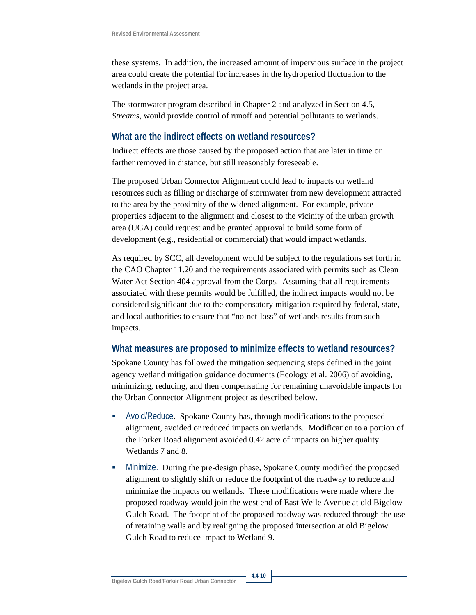these systems. In addition, the increased amount of impervious surface in the project area could create the potential for increases in the hydroperiod fluctuation to the wetlands in the project area.

The stormwater program described in Chapter 2 and analyzed in Section 4.5, *Streams,* would provide control of runoff and potential pollutants to wetlands.

#### **What are the indirect effects on wetland resources?**

Indirect effects are those caused by the proposed action that are later in time or farther removed in distance, but still reasonably foreseeable.

The proposed Urban Connector Alignment could lead to impacts on wetland resources such as filling or discharge of stormwater from new development attracted to the area by the proximity of the widened alignment. For example, private properties adjacent to the alignment and closest to the vicinity of the urban growth area (UGA) could request and be granted approval to build some form of development (e.g., residential or commercial) that would impact wetlands.

As required by SCC, all development would be subject to the regulations set forth in the CAO Chapter 11.20 and the requirements associated with permits such as Clean Water Act Section 404 approval from the Corps. Assuming that all requirements associated with these permits would be fulfilled, the indirect impacts would not be considered significant due to the compensatory mitigation required by federal, state, and local authorities to ensure that "no-net-loss" of wetlands results from such impacts.

#### **What measures are proposed to minimize effects to wetland resources?**

Spokane County has followed the mitigation sequencing steps defined in the joint agency wetland mitigation guidance documents (Ecology et al. 2006) of avoiding, minimizing, reducing, and then compensating for remaining unavoidable impacts for the Urban Connector Alignment project as described below.

- Avoid/Reduce**.** Spokane County has, through modifications to the proposed alignment, avoided or reduced impacts on wetlands. Modification to a portion of the Forker Road alignment avoided 0.42 acre of impacts on higher quality Wetlands 7 and 8.
- Minimize. During the pre-design phase, Spokane County modified the proposed alignment to slightly shift or reduce the footprint of the roadway to reduce and minimize the impacts on wetlands. These modifications were made where the proposed roadway would join the west end of East Weile Avenue at old Bigelow Gulch Road. The footprint of the proposed roadway was reduced through the use of retaining walls and by realigning the proposed intersection at old Bigelow Gulch Road to reduce impact to Wetland 9.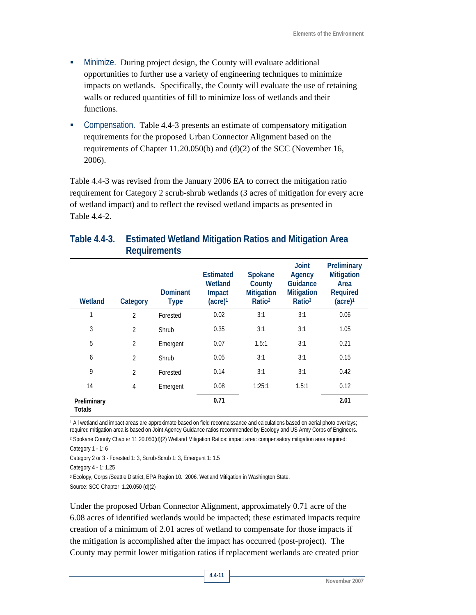- Minimize. During project design, the County will evaluate additional opportunities to further use a variety of engineering techniques to minimize impacts on wetlands. Specifically, the County will evaluate the use of retaining walls or reduced quantities of fill to minimize loss of wetlands and their functions.
- Compensation. Table 4.4-3 presents an estimate of compensatory mitigation requirements for the proposed Urban Connector Alignment based on the requirements of Chapter 11.20.050(b) and (d)(2) of the SCC (November 16, 2006).

Table 4.4-3 was revised from the January 2006 EA to correct the mitigation ratio requirement for Category 2 scrub-shrub wetlands (3 acres of mitigation for every acre of wetland impact) and to reflect the revised wetland impacts as presented in Table 4.4-2.

| Wetland                      | Category       | <b>Dominant</b><br><b>Type</b> | <b>Estimated</b><br>Wetland<br>Impact<br>(acre) <sup>1</sup> | Spokane<br>County<br><b>Mitigation</b><br>Ratio <sup>2</sup> | <b>Joint</b><br>Agency<br>Guidance<br><b>Mitigation</b><br>Ratio <sup>3</sup> | Preliminary<br><b>Mitigation</b><br>Area<br><b>Required</b><br>(acre) <sup>1</sup> |
|------------------------------|----------------|--------------------------------|--------------------------------------------------------------|--------------------------------------------------------------|-------------------------------------------------------------------------------|------------------------------------------------------------------------------------|
| 1                            | $\overline{2}$ | Forested                       | 0.02                                                         | 3:1                                                          | 3:1                                                                           | 0.06                                                                               |
| 3                            | $\overline{2}$ | Shrub                          | 0.35                                                         | 3:1                                                          | 3:1                                                                           | 1.05                                                                               |
| 5                            | $\overline{2}$ | Emergent                       | 0.07                                                         | 1.5:1                                                        | 3:1                                                                           | 0.21                                                                               |
| 6                            | $\overline{2}$ | Shrub                          | 0.05                                                         | 3:1                                                          | 3:1                                                                           | 0.15                                                                               |
| 9                            | $\overline{2}$ | Forested                       | 0.14                                                         | 3:1                                                          | 3:1                                                                           | 0.42                                                                               |
| 14                           | 4              | Emergent                       | 0.08                                                         | 1:25:1                                                       | 1.5:1                                                                         | 0.12                                                                               |
| Preliminary<br><b>Totals</b> |                |                                | 0.71                                                         |                                                              |                                                                               | 2.01                                                                               |

#### **Table 4.4-3. Estimated Wetland Mitigation Ratios and Mitigation Area Requirements**

1 All wetland and impact areas are approximate based on field reconnaissance and calculations based on aerial photo overlays; required mitigation area is based on Joint Agency Guidance ratios recommended by Ecology and US Army Corps of Engineers.

2 Spokane County Chapter 11.20.050(d)(2) Wetland Mitigation Ratios: impact area: compensatory mitigation area required: Category 1 - 1: 6

Category 2 or 3 - Forested 1: 3, Scrub-Scrub 1: 3, Emergent 1: 1.5

Category 4 - 1: 1.25

3 Ecology, Corps /Seattle District, EPA Region 10. 2006. Wetland Mitigation in Washington State.

Source: SCC Chapter 1.20.050 (d)(2)

Under the proposed Urban Connector Alignment, approximately 0.71 acre of the 6.08 acres of identified wetlands would be impacted; these estimated impacts require creation of a minimum of 2.01 acres of wetland to compensate for those impacts if the mitigation is accomplished after the impact has occurred (post-project). The County may permit lower mitigation ratios if replacement wetlands are created prior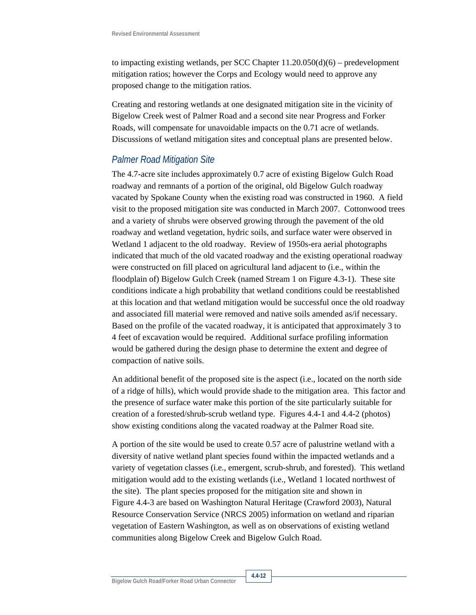to impacting existing wetlands, per SCC Chapter  $11.20.050(d)(6)$  – predevelopment mitigation ratios; however the Corps and Ecology would need to approve any proposed change to the mitigation ratios.

Creating and restoring wetlands at one designated mitigation site in the vicinity of Bigelow Creek west of Palmer Road and a second site near Progress and Forker Roads, will compensate for unavoidable impacts on the 0.71 acre of wetlands. Discussions of wetland mitigation sites and conceptual plans are presented below.

#### *Palmer Road Mitigation Site*

The 4.7-acre site includes approximately 0.7 acre of existing Bigelow Gulch Road roadway and remnants of a portion of the original, old Bigelow Gulch roadway vacated by Spokane County when the existing road was constructed in 1960. A field visit to the proposed mitigation site was conducted in March 2007. Cottonwood trees and a variety of shrubs were observed growing through the pavement of the old roadway and wetland vegetation, hydric soils, and surface water were observed in Wetland 1 adjacent to the old roadway. Review of 1950s-era aerial photographs indicated that much of the old vacated roadway and the existing operational roadway were constructed on fill placed on agricultural land adjacent to (i.e., within the floodplain of) Bigelow Gulch Creek (named Stream 1 on Figure 4.3-1). These site conditions indicate a high probability that wetland conditions could be reestablished at this location and that wetland mitigation would be successful once the old roadway and associated fill material were removed and native soils amended as/if necessary. Based on the profile of the vacated roadway, it is anticipated that approximately 3 to 4 feet of excavation would be required. Additional surface profiling information would be gathered during the design phase to determine the extent and degree of compaction of native soils.

An additional benefit of the proposed site is the aspect (i.e., located on the north side of a ridge of hills), which would provide shade to the mitigation area. This factor and the presence of surface water make this portion of the site particularly suitable for creation of a forested/shrub-scrub wetland type. Figures 4.4-1 and 4.4-2 (photos) show existing conditions along the vacated roadway at the Palmer Road site.

A portion of the site would be used to create 0.57 acre of palustrine wetland with a diversity of native wetland plant species found within the impacted wetlands and a variety of vegetation classes (i.e., emergent, scrub-shrub, and forested). This wetland mitigation would add to the existing wetlands (i.e., Wetland 1 located northwest of the site). The plant species proposed for the mitigation site and shown in Figure 4.4-3 are based on Washington Natural Heritage (Crawford 2003), Natural Resource Conservation Service (NRCS 2005) information on wetland and riparian vegetation of Eastern Washington, as well as on observations of existing wetland communities along Bigelow Creek and Bigelow Gulch Road.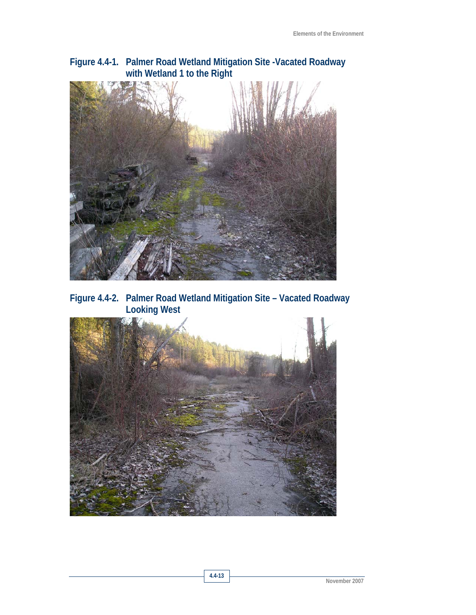### **Figure 4.4-1. Palmer Road Wetland Mitigation Site -Vacated Roadway with Wetland 1 to the Right**



**Figure 4.4-2. Palmer Road Wetland Mitigation Site – Vacated Roadway Looking West** 

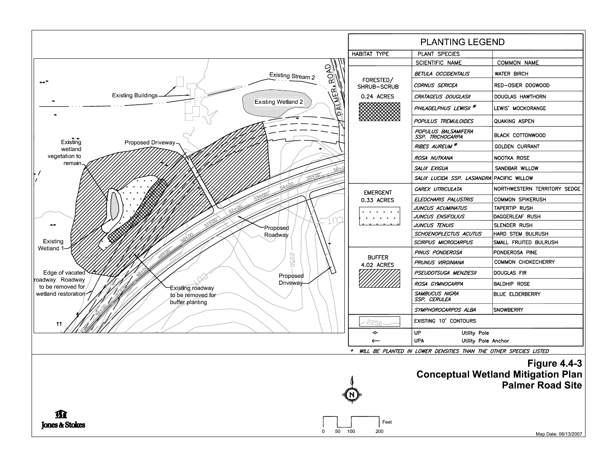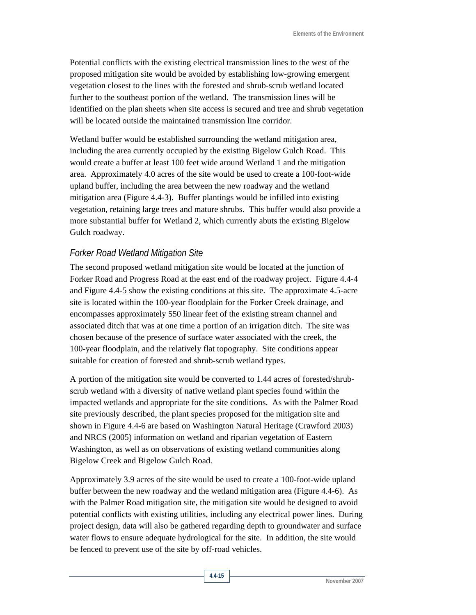Potential conflicts with the existing electrical transmission lines to the west of the proposed mitigation site would be avoided by establishing low-growing emergent vegetation closest to the lines with the forested and shrub-scrub wetland located further to the southeast portion of the wetland. The transmission lines will be identified on the plan sheets when site access is secured and tree and shrub vegetation will be located outside the maintained transmission line corridor.

Wetland buffer would be established surrounding the wetland mitigation area, including the area currently occupied by the existing Bigelow Gulch Road. This would create a buffer at least 100 feet wide around Wetland 1 and the mitigation area. Approximately 4.0 acres of the site would be used to create a 100-foot-wide upland buffer, including the area between the new roadway and the wetland mitigation area (Figure 4.4-3). Buffer plantings would be infilled into existing vegetation, retaining large trees and mature shrubs. This buffer would also provide a more substantial buffer for Wetland 2, which currently abuts the existing Bigelow Gulch roadway.

#### *Forker Road Wetland Mitigation Site*

The second proposed wetland mitigation site would be located at the junction of Forker Road and Progress Road at the east end of the roadway project. Figure 4.4-4 and Figure 4.4-5 show the existing conditions at this site. The approximate 4.5-acre site is located within the 100-year floodplain for the Forker Creek drainage, and encompasses approximately 550 linear feet of the existing stream channel and associated ditch that was at one time a portion of an irrigation ditch. The site was chosen because of the presence of surface water associated with the creek, the 100-year floodplain, and the relatively flat topography. Site conditions appear suitable for creation of forested and shrub-scrub wetland types.

A portion of the mitigation site would be converted to 1.44 acres of forested/shrubscrub wetland with a diversity of native wetland plant species found within the impacted wetlands and appropriate for the site conditions. As with the Palmer Road site previously described, the plant species proposed for the mitigation site and shown in Figure 4.4-6 are based on Washington Natural Heritage (Crawford 2003) and NRCS (2005) information on wetland and riparian vegetation of Eastern Washington, as well as on observations of existing wetland communities along Bigelow Creek and Bigelow Gulch Road.

Approximately 3.9 acres of the site would be used to create a 100-foot-wide upland buffer between the new roadway and the wetland mitigation area (Figure 4.4-6). As with the Palmer Road mitigation site, the mitigation site would be designed to avoid potential conflicts with existing utilities, including any electrical power lines. During project design, data will also be gathered regarding depth to groundwater and surface water flows to ensure adequate hydrological for the site. In addition, the site would be fenced to prevent use of the site by off-road vehicles.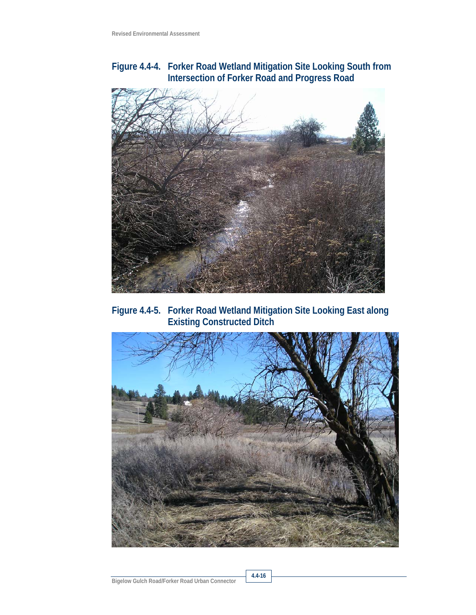### **Figure 4.4-4. Forker Road Wetland Mitigation Site Looking South from Intersection of Forker Road and Progress Road**



**Figure 4.4-5. Forker Road Wetland Mitigation Site Looking East along Existing Constructed Ditch** 



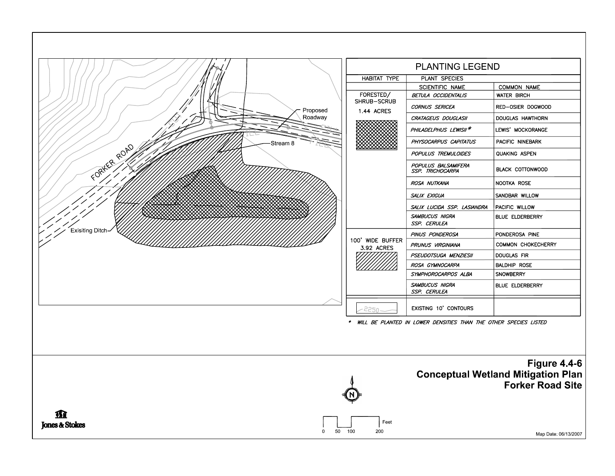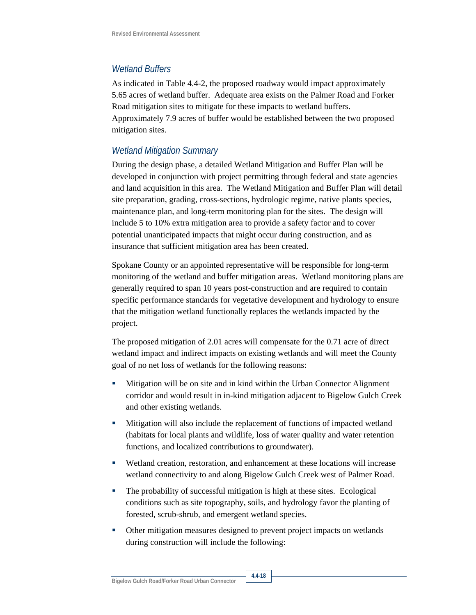#### *Wetland Buffers*

As indicated in Table 4.4-2, the proposed roadway would impact approximately 5.65 acres of wetland buffer. Adequate area exists on the Palmer Road and Forker Road mitigation sites to mitigate for these impacts to wetland buffers. Approximately 7.9 acres of buffer would be established between the two proposed mitigation sites.

### *Wetland Mitigation Summary*

During the design phase, a detailed Wetland Mitigation and Buffer Plan will be developed in conjunction with project permitting through federal and state agencies and land acquisition in this area. The Wetland Mitigation and Buffer Plan will detail site preparation, grading, cross-sections, hydrologic regime, native plants species, maintenance plan, and long-term monitoring plan for the sites. The design will include 5 to 10% extra mitigation area to provide a safety factor and to cover potential unanticipated impacts that might occur during construction, and as insurance that sufficient mitigation area has been created.

Spokane County or an appointed representative will be responsible for long-term monitoring of the wetland and buffer mitigation areas. Wetland monitoring plans are generally required to span 10 years post-construction and are required to contain specific performance standards for vegetative development and hydrology to ensure that the mitigation wetland functionally replaces the wetlands impacted by the project.

The proposed mitigation of 2.01 acres will compensate for the 0.71 acre of direct wetland impact and indirect impacts on existing wetlands and will meet the County goal of no net loss of wetlands for the following reasons:

- Mitigation will be on site and in kind within the Urban Connector Alignment corridor and would result in in-kind mitigation adjacent to Bigelow Gulch Creek and other existing wetlands.
- Mitigation will also include the replacement of functions of impacted wetland (habitats for local plants and wildlife, loss of water quality and water retention functions, and localized contributions to groundwater).
- Wetland creation, restoration, and enhancement at these locations will increase wetland connectivity to and along Bigelow Gulch Creek west of Palmer Road.
- The probability of successful mitigation is high at these sites. Ecological conditions such as site topography, soils, and hydrology favor the planting of forested, scrub-shrub, and emergent wetland species.
- Other mitigation measures designed to prevent project impacts on wetlands during construction will include the following: